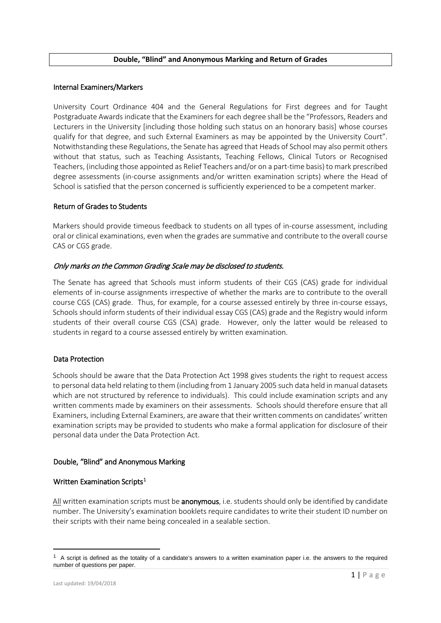#### **Double, "Blind" and Anonymous Marking and Return of Grades**

#### Internal Examiners/Markers

University Court Ordinance 404 and the General Regulations for First degrees and for Taught Postgraduate Awards indicate that the Examiners for each degree shall be the "Professors, Readers and Lecturers in the University [including those holding such status on an honorary basis] whose courses qualify for that degree, and such External Examiners as may be appointed by the University Court". Notwithstanding these Regulations, the Senate has agreed that Heads of School may also permit others without that status, such as Teaching Assistants, Teaching Fellows, Clinical Tutors or Recognised Teachers, (including those appointed as Relief Teachers and/or on a part-time basis) to mark prescribed degree assessments (in-course assignments and/or written examination scripts) where the Head of School is satisfied that the person concerned is sufficiently experienced to be a competent marker.

## Return of Grades to Students

Markers should provide timeous feedback to students on all types of in-course assessment, including oral or clinical examinations, even when the grades are summative and contribute to the overall course CAS or CGS grade.

## Only marks on the Common Grading Scale may be disclosed to students.

The Senate has agreed that Schools must inform students of their CGS (CAS) grade for individual elements of in-course assignments irrespective of whether the marks are to contribute to the overall course CGS (CAS) grade. Thus, for example, for a course assessed entirely by three in-course essays, Schools should inform students of their individual essay CGS (CAS) grade and the Registry would inform students of their overall course CGS (CSA) grade. However, only the latter would be released to students in regard to a course assessed entirely by written examination.

## Data Protection

Schools should be aware that the Data Protection Act 1998 gives students the right to request access to personal data held relating to them (including from 1 January 2005 such data held in manual datasets which are not structured by reference to individuals). This could include examination scripts and any written comments made by examiners on their assessments. Schools should therefore ensure that all Examiners, including External Examiners, are aware that their written comments on candidates' written examination scripts may be provided to students who make a formal application for disclosure of their personal data under the Data Protection Act.

## Double, "Blind" and Anonymous Marking

# Written Examination Scripts<sup>[1](#page-0-0)</sup>

All written examination scripts must be **anonymous**, i.e. students should only be identified by candidate number. The University's examination booklets require candidates to write their student ID number on their scripts with their name being concealed in a sealable section.

<u>.</u>

<span id="page-0-0"></span> $1$  A script is defined as the totality of a candidate's answers to a written examination paper i.e. the answers to the required number of questions per paper.